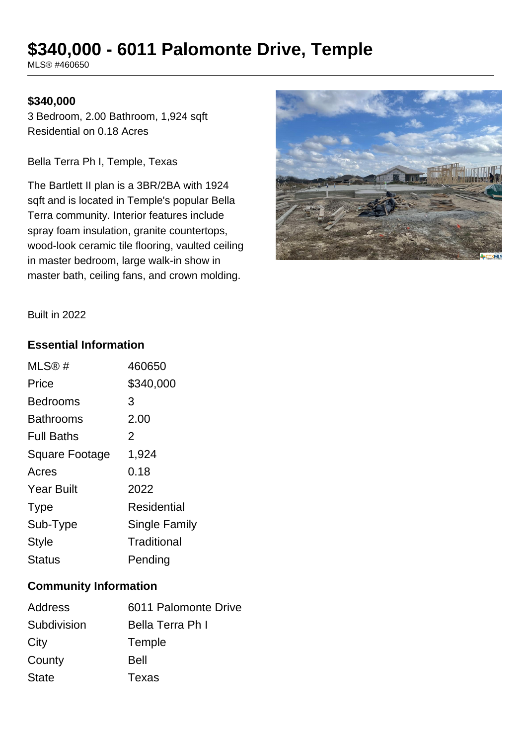# **\$340,000 - 6011 Palomonte Drive, Temple**

MLS® #460650

### **\$340,000**

3 Bedroom, 2.00 Bathroom, 1,924 sqft Residential on 0.18 Acres

Bella Terra Ph I, Temple, Texas

The Bartlett II plan is a 3BR/2BA with 1924 sqft and is located in Temple's popular Bella Terra community. Interior features include spray foam insulation, granite countertops, wood-look ceramic tile flooring, vaulted ceiling in master bedroom, large walk-in show in master bath, ceiling fans, and crown molding.



Built in 2022

#### **Essential Information**

| MLS@#             | 460650        |
|-------------------|---------------|
| Price             | \$340,000     |
| Bedrooms          | 3             |
| Bathrooms         | 2.00          |
| <b>Full Baths</b> | 2             |
| Square Footage    | 1,924         |
| Acres             | 0.18          |
| <b>Year Built</b> | 2022          |
| <b>Type</b>       | Residential   |
| Sub-Type          | Single Family |
| <b>Style</b>      | Traditional   |
| Status            | Pending       |

#### **Community Information**

| Address      | 6011 Palomonte Drive |
|--------------|----------------------|
| Subdivision  | Bella Terra Ph I     |
| City         | Temple               |
| County       | Bell                 |
| <b>State</b> | Texas                |